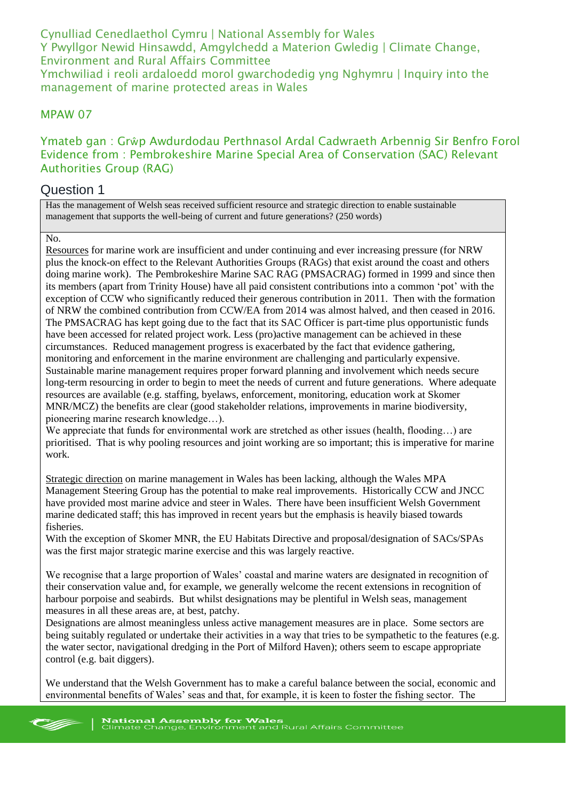Cynulliad Cenedlaethol Cymru | National Assembly for Wales Y Pwyllgor Newid Hinsawdd, Amgylchedd a Materion Gwledig | Climate Change, Environment and Rural Affairs Committee Ymchwiliad i reoli ardaloedd morol gwarchodedig yng Nghymru | Inquiry into the management of marine protected areas in Wales

### MPAW 07

### Ymateb gan : Grŵp Awdurdodau Perthnasol Ardal Cadwraeth Arbennig Sir Benfro Forol Evidence from : Pembrokeshire Marine Special Area of Conservation (SAC) Relevant Authorities Group (RAG)

### Question 1

Has the management of Welsh seas received sufficient resource and strategic direction to enable sustainable management that supports the well-being of current and future generations? (250 words)

#### $N<sub>0</sub>$

Resources for marine work are insufficient and under continuing and ever increasing pressure (for NRW plus the knock-on effect to the Relevant Authorities Groups (RAGs) that exist around the coast and others doing marine work). The Pembrokeshire Marine SAC RAG (PMSACRAG) formed in 1999 and since then its members (apart from Trinity House) have all paid consistent contributions into a common 'pot' with the exception of CCW who significantly reduced their generous contribution in 2011. Then with the formation of NRW the combined contribution from CCW/EA from 2014 was almost halved, and then ceased in 2016. The PMSACRAG has kept going due to the fact that its SAC Officer is part-time plus opportunistic funds have been accessed for related project work. Less (pro)active management can be achieved in these circumstances. Reduced management progress is exacerbated by the fact that evidence gathering, monitoring and enforcement in the marine environment are challenging and particularly expensive. Sustainable marine management requires proper forward planning and involvement which needs secure long-term resourcing in order to begin to meet the needs of current and future generations. Where adequate resources are available (e.g. staffing, byelaws, enforcement, monitoring, education work at Skomer MNR/MCZ) the benefits are clear (good stakeholder relations, improvements in marine biodiversity, pioneering marine research knowledge…).

We appreciate that funds for environmental work are stretched as other issues (health, flooding…) are prioritised. That is why pooling resources and joint working are so important; this is imperative for marine work.

Strategic direction on marine management in Wales has been lacking, although the Wales MPA Management Steering Group has the potential to make real improvements. Historically CCW and JNCC have provided most marine advice and steer in Wales. There have been insufficient Welsh Government marine dedicated staff; this has improved in recent years but the emphasis is heavily biased towards fisheries.

With the exception of Skomer MNR, the EU Habitats Directive and proposal/designation of SACs/SPAs was the first major strategic marine exercise and this was largely reactive.

We recognise that a large proportion of Wales' coastal and marine waters are designated in recognition of their conservation value and, for example, we generally welcome the recent extensions in recognition of harbour porpoise and seabirds. But whilst designations may be plentiful in Welsh seas, management measures in all these areas are, at best, patchy.

Designations are almost meaningless unless active management measures are in place. Some sectors are being suitably regulated or undertake their activities in a way that tries to be sympathetic to the features (e.g. the water sector, navigational dredging in the Port of Milford Haven); others seem to escape appropriate control (e.g. bait diggers).

We understand that the Welsh Government has to make a careful balance between the social, economic and environmental benefits of Wales' seas and that, for example, it is keen to foster the fishing sector. The

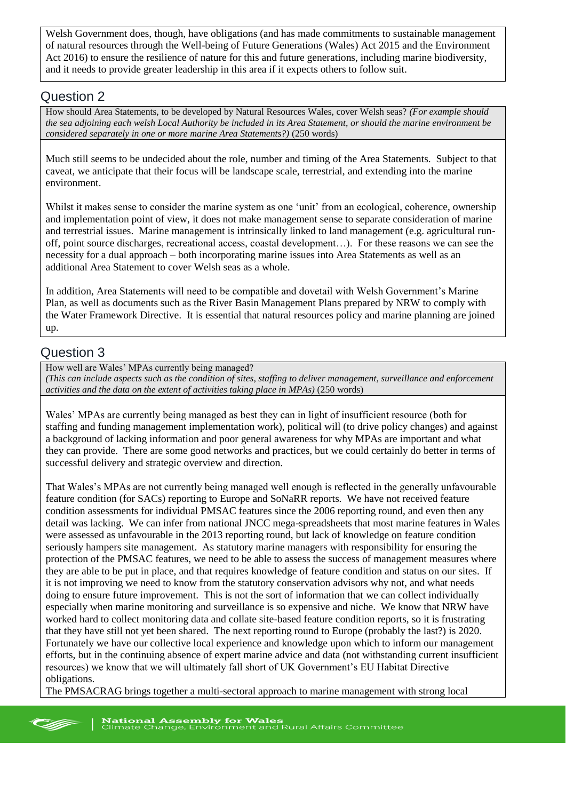Welsh Government does, though, have obligations (and has made commitments to sustainable management of natural resources through the Well-being of Future Generations (Wales) Act 2015 and the Environment Act 2016) to ensure the resilience of nature for this and future generations, including marine biodiversity, and it needs to provide greater leadership in this area if it expects others to follow suit.

### Question 2

How should Area Statements, to be developed by Natural Resources Wales, cover Welsh seas? *(For example should the sea adjoining each welsh Local Authority be included in its Area Statement, or should the marine environment be considered separately in one or more marine Area Statements?)* (250 words)

Much still seems to be undecided about the role, number and timing of the Area Statements. Subject to that caveat, we anticipate that their focus will be landscape scale, terrestrial, and extending into the marine environment.

Whilst it makes sense to consider the marine system as one 'unit' from an ecological, coherence, ownership and implementation point of view, it does not make management sense to separate consideration of marine and terrestrial issues. Marine management is intrinsically linked to land management (e.g. agricultural runoff, point source discharges, recreational access, coastal development…). For these reasons we can see the necessity for a dual approach – both incorporating marine issues into Area Statements as well as an additional Area Statement to cover Welsh seas as a whole.

In addition, Area Statements will need to be compatible and dovetail with Welsh Government's Marine Plan, as well as documents such as the River Basin Management Plans prepared by NRW to comply with the Water Framework Directive. It is essential that natural resources policy and marine planning are joined up.

# Question 3

How well are Wales' MPAs currently being managed?

*(This can include aspects such as the condition of sites, staffing to deliver management, surveillance and enforcement activities and the data on the extent of activities taking place in MPAs)* (250 words)

Wales' MPAs are currently being managed as best they can in light of insufficient resource (both for staffing and funding management implementation work), political will (to drive policy changes) and against a background of lacking information and poor general awareness for why MPAs are important and what they can provide. There are some good networks and practices, but we could certainly do better in terms of successful delivery and strategic overview and direction.

That Wales's MPAs are not currently being managed well enough is reflected in the generally unfavourable feature condition (for SACs) reporting to Europe and SoNaRR reports. We have not received feature condition assessments for individual PMSAC features since the 2006 reporting round, and even then any detail was lacking. We can infer from national JNCC mega-spreadsheets that most marine features in Wales were assessed as unfavourable in the 2013 reporting round, but lack of knowledge on feature condition seriously hampers site management. As statutory marine managers with responsibility for ensuring the protection of the PMSAC features, we need to be able to assess the success of management measures where they are able to be put in place, and that requires knowledge of feature condition and status on our sites. If it is not improving we need to know from the statutory conservation advisors why not, and what needs doing to ensure future improvement. This is not the sort of information that we can collect individually especially when marine monitoring and surveillance is so expensive and niche. We know that NRW have worked hard to collect monitoring data and collate site-based feature condition reports, so it is frustrating that they have still not yet been shared. The next reporting round to Europe (probably the last?) is 2020. Fortunately we have our collective local experience and knowledge upon which to inform our management efforts, but in the continuing absence of expert marine advice and data (not withstanding current insufficient resources) we know that we will ultimately fall short of UK Government's EU Habitat Directive obligations.

The PMSACRAG brings together a multi-sectoral approach to marine management with strong local

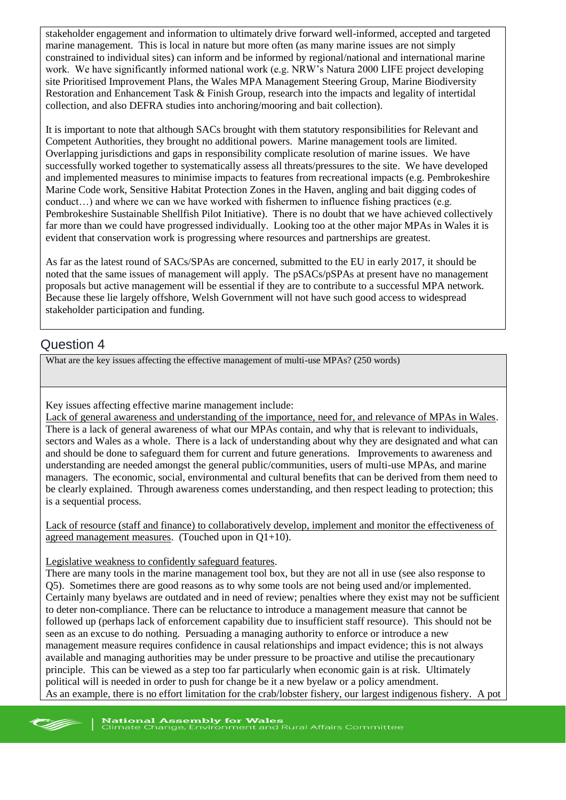stakeholder engagement and information to ultimately drive forward well-informed, accepted and targeted marine management. This is local in nature but more often (as many marine issues are not simply constrained to individual sites) can inform and be informed by regional/national and international marine work. We have significantly informed national work (e.g. NRW's Natura 2000 LIFE project developing site Prioritised Improvement Plans, the Wales MPA Management Steering Group, Marine Biodiversity Restoration and Enhancement Task & Finish Group, research into the impacts and legality of intertidal collection, and also DEFRA studies into anchoring/mooring and bait collection).

It is important to note that although SACs brought with them statutory responsibilities for Relevant and Competent Authorities, they brought no additional powers. Marine management tools are limited. Overlapping jurisdictions and gaps in responsibility complicate resolution of marine issues. We have successfully worked together to systematically assess all threats/pressures to the site. We have developed and implemented measures to minimise impacts to features from recreational impacts (e.g. Pembrokeshire Marine Code work, Sensitive Habitat Protection Zones in the Haven, angling and bait digging codes of conduct...) and where we can we have worked with fishermen to influence fishing practices (e.g. Pembrokeshire Sustainable Shellfish Pilot Initiative). There is no doubt that we have achieved collectively far more than we could have progressed individually. Looking too at the other major MPAs in Wales it is evident that conservation work is progressing where resources and partnerships are greatest.

As far as the latest round of SACs/SPAs are concerned, submitted to the EU in early 2017, it should be noted that the same issues of management will apply. The pSACs/pSPAs at present have no management proposals but active management will be essential if they are to contribute to a successful MPA network. Because these lie largely offshore, Welsh Government will not have such good access to widespread stakeholder participation and funding.

### Question 4

What are the key issues affecting the effective management of multi-use MPAs? (250 words)

Key issues affecting effective marine management include:

Lack of general awareness and understanding of the importance, need for, and relevance of MPAs in Wales. There is a lack of general awareness of what our MPAs contain, and why that is relevant to individuals, sectors and Wales as a whole. There is a lack of understanding about why they are designated and what can and should be done to safeguard them for current and future generations. Improvements to awareness and understanding are needed amongst the general public/communities, users of multi-use MPAs, and marine managers. The economic, social, environmental and cultural benefits that can be derived from them need to be clearly explained. Through awareness comes understanding, and then respect leading to protection; this is a sequential process.

Lack of resource (staff and finance) to collaboratively develop, implement and monitor the effectiveness of agreed management measures. (Touched upon in  $Q1+10$ ).

Legislative weakness to confidently safeguard features.

There are many tools in the marine management tool box, but they are not all in use (see also response to Q5). Sometimes there are good reasons as to why some tools are not being used and/or implemented. Certainly many byelaws are outdated and in need of review; penalties where they exist may not be sufficient to deter non-compliance. There can be reluctance to introduce a management measure that cannot be followed up (perhaps lack of enforcement capability due to insufficient staff resource). This should not be seen as an excuse to do nothing. Persuading a managing authority to enforce or introduce a new management measure requires confidence in causal relationships and impact evidence; this is not always available and managing authorities may be under pressure to be proactive and utilise the precautionary principle. This can be viewed as a step too far particularly when economic gain is at risk. Ultimately political will is needed in order to push for change be it a new byelaw or a policy amendment. As an example, there is no effort limitation for the crab/lobster fishery, our largest indigenous fishery. A pot

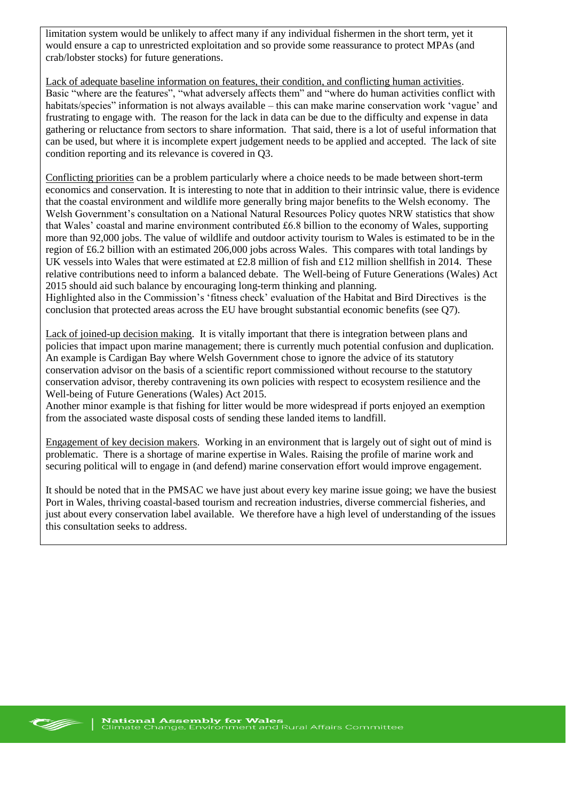limitation system would be unlikely to affect many if any individual fishermen in the short term, yet it would ensure a cap to unrestricted exploitation and so provide some reassurance to protect MPAs (and crab/lobster stocks) for future generations.

Lack of adequate baseline information on features, their condition, and conflicting human activities. Basic "where are the features", "what adversely affects them" and "where do human activities conflict with habitats/species" information is not always available – this can make marine conservation work 'vague' and frustrating to engage with. The reason for the lack in data can be due to the difficulty and expense in data gathering or reluctance from sectors to share information. That said, there is a lot of useful information that can be used, but where it is incomplete expert judgement needs to be applied and accepted. The lack of site condition reporting and its relevance is covered in Q3.

Conflicting priorities can be a problem particularly where a choice needs to be made between short-term economics and conservation. It is interesting to note that in addition to their intrinsic value, there is evidence that the coastal environment and wildlife more generally bring major benefits to the Welsh economy. The Welsh Government's consultation on a National Natural Resources Policy quotes NRW statistics that show that Wales' coastal and marine environment contributed £6.8 billion to the economy of Wales, supporting more than 92,000 jobs. The value of wildlife and outdoor activity tourism to Wales is estimated to be in the region of £6.2 billion with an estimated 206,000 jobs across Wales. This compares with total landings by UK vessels into Wales that were estimated at £2.8 million of fish and £12 million shellfish in 2014. These relative contributions need to inform a balanced debate. The Well-being of Future Generations (Wales) Act 2015 should aid such balance by encouraging long-term thinking and planning.

Highlighted also in the Commission's 'fitness check' evaluation of the Habitat and Bird Directives is the conclusion that protected areas across the EU have brought substantial economic benefits (see Q7).

Lack of joined-up decision making. It is vitally important that there is integration between plans and policies that impact upon marine management; there is currently much potential confusion and duplication. An example is Cardigan Bay where Welsh Government chose to ignore the advice of its statutory conservation advisor on the basis of a scientific report commissioned without recourse to the statutory conservation advisor, thereby contravening its own policies with respect to ecosystem resilience and the Well-being of Future Generations (Wales) Act 2015.

Another minor example is that fishing for litter would be more widespread if ports enjoyed an exemption from the associated waste disposal costs of sending these landed items to landfill.

Engagement of key decision makers. Working in an environment that is largely out of sight out of mind is problematic. There is a shortage of marine expertise in Wales. Raising the profile of marine work and securing political will to engage in (and defend) marine conservation effort would improve engagement.

It should be noted that in the PMSAC we have just about every key marine issue going; we have the busiest Port in Wales, thriving coastal-based tourism and recreation industries, diverse commercial fisheries, and just about every conservation label available. We therefore have a high level of understanding of the issues this consultation seeks to address.

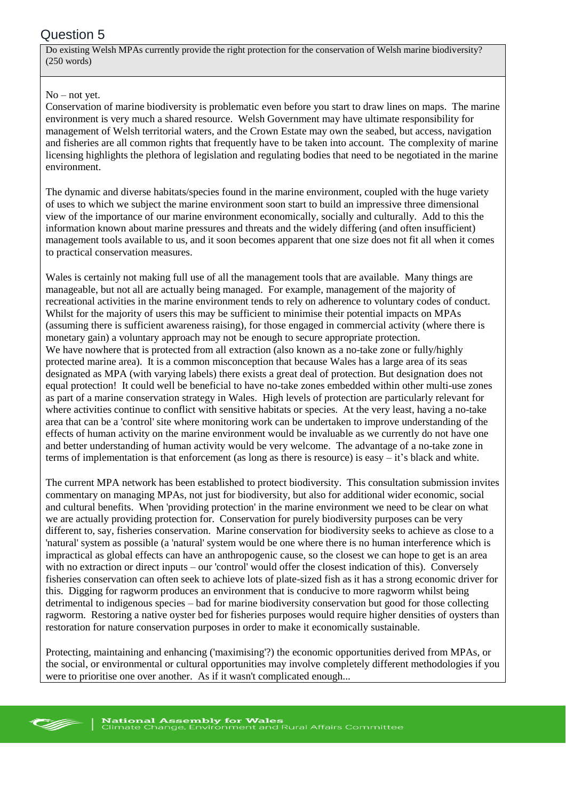# Question 5

Do existing Welsh MPAs currently provide the right protection for the conservation of Welsh marine biodiversity? (250 words)

#### No – not yet.

Conservation of marine biodiversity is problematic even before you start to draw lines on maps. The marine environment is very much a shared resource. Welsh Government may have ultimate responsibility for management of Welsh territorial waters, and the Crown Estate may own the seabed, but access, navigation and fisheries are all common rights that frequently have to be taken into account. The complexity of marine licensing highlights the plethora of legislation and regulating bodies that need to be negotiated in the marine environment.

The dynamic and diverse habitats/species found in the marine environment, coupled with the huge variety of uses to which we subject the marine environment soon start to build an impressive three dimensional view of the importance of our marine environment economically, socially and culturally. Add to this the information known about marine pressures and threats and the widely differing (and often insufficient) management tools available to us, and it soon becomes apparent that one size does not fit all when it comes to practical conservation measures.

Wales is certainly not making full use of all the management tools that are available. Many things are manageable, but not all are actually being managed. For example, management of the majority of recreational activities in the marine environment tends to rely on adherence to voluntary codes of conduct. Whilst for the majority of users this may be sufficient to minimise their potential impacts on MPAs (assuming there is sufficient awareness raising), for those engaged in commercial activity (where there is monetary gain) a voluntary approach may not be enough to secure appropriate protection. We have nowhere that is protected from all extraction (also known as a no-take zone or fully/highly protected marine area). It is a common misconception that because Wales has a large area of its seas designated as MPA (with varying labels) there exists a great deal of protection. But designation does not equal protection! It could well be beneficial to have no-take zones embedded within other multi-use zones as part of a marine conservation strategy in Wales. High levels of protection are particularly relevant for where activities continue to conflict with sensitive habitats or species. At the very least, having a no-take area that can be a 'control' site where monitoring work can be undertaken to improve understanding of the effects of human activity on the marine environment would be invaluable as we currently do not have one and better understanding of human activity would be very welcome. The advantage of a no-take zone in terms of implementation is that enforcement (as long as there is resource) is easy – it's black and white.

The current MPA network has been established to protect biodiversity. This consultation submission invites commentary on managing MPAs, not just for biodiversity, but also for additional wider economic, social and cultural benefits. When 'providing protection' in the marine environment we need to be clear on what we are actually providing protection for. Conservation for purely biodiversity purposes can be very different to, say, fisheries conservation. Marine conservation for biodiversity seeks to achieve as close to a 'natural' system as possible (a 'natural' system would be one where there is no human interference which is impractical as global effects can have an anthropogenic cause, so the closest we can hope to get is an area with no extraction or direct inputs – our 'control' would offer the closest indication of this). Conversely fisheries conservation can often seek to achieve lots of plate-sized fish as it has a strong economic driver for this. Digging for ragworm produces an environment that is conducive to more ragworm whilst being detrimental to indigenous species – bad for marine biodiversity conservation but good for those collecting ragworm. Restoring a native oyster bed for fisheries purposes would require higher densities of oysters than restoration for nature conservation purposes in order to make it economically sustainable.

Protecting, maintaining and enhancing ('maximising'?) the economic opportunities derived from MPAs, or the social, or environmental or cultural opportunities may involve completely different methodologies if you were to prioritise one over another. As if it wasn't complicated enough...

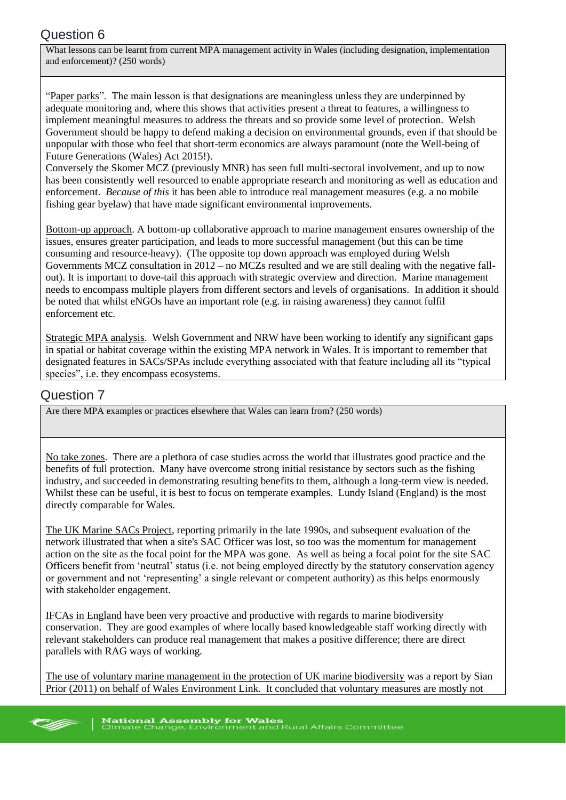# Question 6

What lessons can be learnt from current MPA management activity in Wales (including designation, implementation and enforcement)? (250 words)

"Paper parks". The main lesson is that designations are meaningless unless they are underpinned by adequate monitoring and, where this shows that activities present a threat to features, a willingness to implement meaningful measures to address the threats and so provide some level of protection. Welsh Government should be happy to defend making a decision on environmental grounds, even if that should be unpopular with those who feel that short-term economics are always paramount (note the Well-being of Future Generations (Wales) Act 2015!).

Conversely the Skomer MCZ (previously MNR) has seen full multi-sectoral involvement, and up to now has been consistently well resourced to enable appropriate research and monitoring as well as education and enforcement. *Because of this* it has been able to introduce real management measures (e.g. a no mobile fishing gear byelaw) that have made significant environmental improvements.

Bottom-up approach. A bottom-up collaborative approach to marine management ensures ownership of the issues, ensures greater participation, and leads to more successful management (but this can be time consuming and resource-heavy). (The opposite top down approach was employed during Welsh Governments MCZ consultation in 2012 – no MCZs resulted and we are still dealing with the negative fallout). It is important to dove-tail this approach with strategic overview and direction. Marine management needs to encompass multiple players from different sectors and levels of organisations. In addition it should be noted that whilst eNGOs have an important role (e.g. in raising awareness) they cannot fulfil enforcement etc.

Strategic MPA analysis. Welsh Government and NRW have been working to identify any significant gaps in spatial or habitat coverage within the existing MPA network in Wales. It is important to remember that designated features in SACs/SPAs include everything associated with that feature including all its "typical species", i.e. they encompass ecosystems.

# Question 7

Are there MPA examples or practices elsewhere that Wales can learn from? (250 words)

No take zones. There are a plethora of case studies across the world that illustrates good practice and the benefits of full protection. Many have overcome strong initial resistance by sectors such as the fishing industry, and succeeded in demonstrating resulting benefits to them, although a long-term view is needed. Whilst these can be useful, it is best to focus on temperate examples. Lundy Island (England) is the most directly comparable for Wales.

The UK Marine SACs Project, reporting primarily in the late 1990s, and subsequent evaluation of the network illustrated that when a site's SAC Officer was lost, so too was the momentum for management action on the site as the focal point for the MPA was gone. As well as being a focal point for the site SAC Officers benefit from 'neutral' status (i.e. not being employed directly by the statutory conservation agency or government and not 'representing' a single relevant or competent authority) as this helps enormously with stakeholder engagement.

IFCAs in England have been very proactive and productive with regards to marine biodiversity conservation. They are good examples of where locally based knowledgeable staff working directly with relevant stakeholders can produce real management that makes a positive difference; there are direct parallels with RAG ways of working.

The use of voluntary marine management in the protection of UK marine biodiversity was a report by Sian Prior (2011) on behalf of Wales Environment Link. It concluded that voluntary measures are mostly not

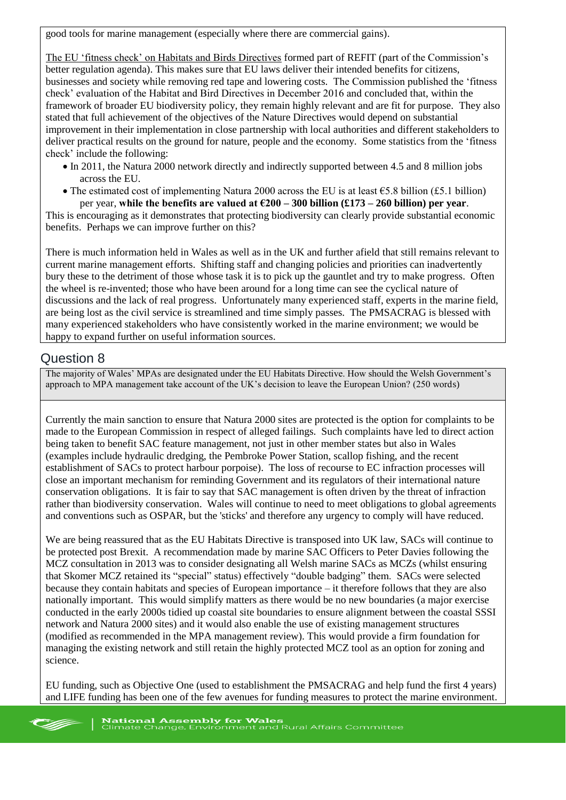good tools for marine management (especially where there are commercial gains).

The EU 'fitness check' on Habitats and Birds Directives formed part of REFIT (part of the Commission's better regulation agenda). This makes sure that EU laws deliver their intended benefits for citizens, businesses and society while removing red tape and lowering costs. The Commission published the 'fitness check' evaluation of the Habitat and Bird Directives in December 2016 and concluded that, within the framework of broader EU biodiversity policy, they remain highly relevant and are fit for purpose. They also stated that full achievement of the objectives of the Nature Directives would depend on substantial improvement in their implementation in close partnership with local authorities and different stakeholders to deliver practical results on the ground for nature, people and the economy. Some statistics from the 'fitness check' include the following:

- In 2011, the Natura 2000 network directly and indirectly supported between 4.5 and 8 million jobs across the EU.
- The estimated cost of implementing Natura 2000 across the EU is at least  $\epsilon$ 5.8 billion (£5.1 billion) per year, **while the benefits are valued at €200 – 300 billion (£173 – 260 billion) per year**.

This is encouraging as it demonstrates that protecting biodiversity can clearly provide substantial economic benefits. Perhaps we can improve further on this?

There is much information held in Wales as well as in the UK and further afield that still remains relevant to current marine management efforts. Shifting staff and changing policies and priorities can inadvertently bury these to the detriment of those whose task it is to pick up the gauntlet and try to make progress. Often the wheel is re-invented; those who have been around for a long time can see the cyclical nature of discussions and the lack of real progress. Unfortunately many experienced staff, experts in the marine field, are being lost as the civil service is streamlined and time simply passes. The PMSACRAG is blessed with many experienced stakeholders who have consistently worked in the marine environment; we would be happy to expand further on useful information sources.

## Question 8

The majority of Wales' MPAs are designated under the EU Habitats Directive. How should the Welsh Government's approach to MPA management take account of the UK's decision to leave the European Union? (250 words)

Currently the main sanction to ensure that Natura 2000 sites are protected is the option for complaints to be made to the European Commission in respect of alleged failings. Such complaints have led to direct action being taken to benefit SAC feature management, not just in other member states but also in Wales (examples include hydraulic dredging, the Pembroke Power Station, scallop fishing, and the recent establishment of SACs to protect harbour porpoise). The loss of recourse to EC infraction processes will close an important mechanism for reminding Government and its regulators of their international nature conservation obligations. It is fair to say that SAC management is often driven by the threat of infraction rather than biodiversity conservation. Wales will continue to need to meet obligations to global agreements and conventions such as OSPAR, but the 'sticks' and therefore any urgency to comply will have reduced.

We are being reassured that as the EU Habitats Directive is transposed into UK law, SACs will continue to be protected post Brexit. A recommendation made by marine SAC Officers to Peter Davies following the MCZ consultation in 2013 was to consider designating all Welsh marine SACs as MCZs (whilst ensuring that Skomer MCZ retained its "special" status) effectively "double badging" them. SACs were selected because they contain habitats and species of European importance – it therefore follows that they are also nationally important. This would simplify matters as there would be no new boundaries (a major exercise conducted in the early 2000s tidied up coastal site boundaries to ensure alignment between the coastal SSSI network and Natura 2000 sites) and it would also enable the use of existing management structures (modified as recommended in the MPA management review). This would provide a firm foundation for managing the existing network and still retain the highly protected MCZ tool as an option for zoning and science.

EU funding, such as Objective One (used to establishment the PMSACRAG and help fund the first 4 years) and LIFE funding has been one of the few avenues for funding measures to protect the marine environment.